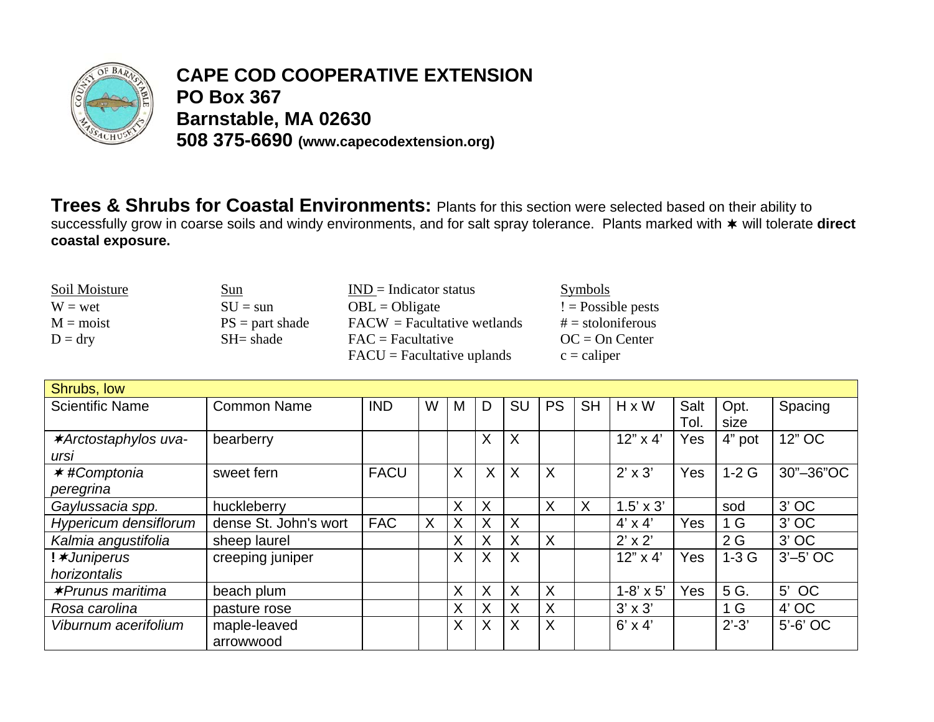

## **CAPE COD COOPERATIVE EXTENSION PO Box 367** Barnstable, MA 02630 508 375-6690 (www.capecodextension.org)

Trees & Shrubs for Coastal Environments: Plants for this section were selected based on their ability to successfully grow in coarse soils and windy environments, and for salt spray tolerance. Plants marked with \* will tolerate direct coastal exposure.

| Soil Moisture      | <u>Sun</u>        | $IND = Indicator status$                   | <b>Symbols</b>      |
|--------------------|-------------------|--------------------------------------------|---------------------|
| $W = wet$          | $SU =$ sun        | $OBL = Obligate$                           | $!=$ Possible pests |
| $M = \text{moist}$ | $PS = part shade$ | $\text{FACW}$ = Facultative wetlands       | $# =$ stoloniferous |
| $D = dry$          | $SH = shade$      | $\text{FAC} = \text{Facultative}$          | $OC = On Center$    |
|                    |                   | $\text{FACU} = \text{Facultative uplands}$ | $c =$ caliper       |

| Shrubs, low                  |                       |             |   |   |         |           |           |           |                    |      |                |             |
|------------------------------|-----------------------|-------------|---|---|---------|-----------|-----------|-----------|--------------------|------|----------------|-------------|
| <b>Scientific Name</b>       | <b>Common Name</b>    | <b>IND</b>  | W | м | D       | <b>SU</b> | <b>PS</b> | <b>SH</b> | $H \times W$       | Salt | Opt.           | Spacing     |
|                              |                       |             |   |   |         |           |           |           |                    | Tol. | size           |             |
| <b>*Arctostaphylos uva-</b>  | bearberry             |             |   |   | X       | X         |           |           | $12" \times 4'$    | Yes  | 4" pot         | 12" OC      |
| ursi                         |                       |             |   |   |         |           |           |           |                    |      |                |             |
| <b>★#Comptonia</b>           | sweet fern            | <b>FACU</b> |   | X | $\sf X$ | X         | X         |           | $2' \times 3'$     | Yes  | $1-2G$         | 30"-36"OC   |
| peregrina                    |                       |             |   |   |         |           |           |           |                    |      |                |             |
| Gaylussacia spp.             | huckleberry           |             |   | X | X       |           | X         | $\times$  | $1.5' \times 3'$   |      | sod            | $3'$ OC     |
| <b>Hypericum densiflorum</b> | dense St. John's wort | <b>FAC</b>  | X | Χ | X       | X         |           |           | $4' \times 4'$     | Yes  | 1 <sub>G</sub> | $3'$ OC     |
| Kalmia angustifolia          | sheep laurel          |             |   | X | X       | X         | X         |           | $2' \times 2'$     |      | 2G             | $3'$ OC     |
| ! <b>*Juniperus</b>          | creeping juniper      |             |   | X | X       | X         |           |           | $12" \times 4'$    | Yes  | $1-3G$         | $3'$ -5' OC |
| horizontalis                 |                       |             |   |   |         |           |           |           |                    |      |                |             |
| <b>∗Prunus maritima</b>      | beach plum            |             |   | X | X       | X         | X         |           | $1 - 8' \times 5'$ | Yes  | 5 G.           | 5' OC       |
| Rosa carolina                | pasture rose          |             |   | X | X       | X         | X         |           | $3' \times 3'$     |      | 1 <sub>G</sub> | $4'$ OC     |
| Viburnum acerifolium         | maple-leaved          |             |   | X | X       | X         | X         |           | $6' \times 4'$     |      | $2' - 3'$      | $5'-6'$ OC  |
|                              | arrowwood             |             |   |   |         |           |           |           |                    |      |                |             |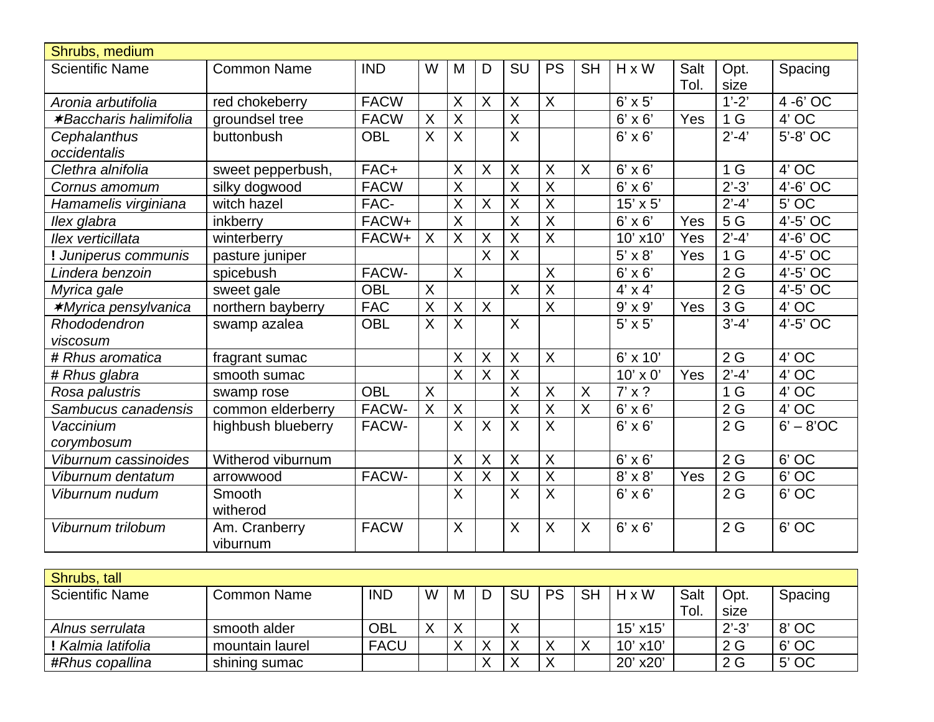| Shrubs, medium                |                    |             |                         |                         |                           |                         |                         |                           |                 |      |                  |             |
|-------------------------------|--------------------|-------------|-------------------------|-------------------------|---------------------------|-------------------------|-------------------------|---------------------------|-----------------|------|------------------|-------------|
| <b>Scientific Name</b>        | <b>Common Name</b> | <b>IND</b>  | W                       | M                       | D                         | SU                      | <b>PS</b>               | <b>SH</b>                 | $H \times W$    | Salt | Opt.             | Spacing     |
|                               |                    |             |                         |                         |                           |                         |                         |                           |                 | Tol. | size             |             |
| Aronia arbutifolia            | red chokeberry     | <b>FACW</b> |                         | $\sf X$                 | $\sf X$                   | $\sf X$                 | $\overline{\mathsf{X}}$ |                           | $6' \times 5'$  |      | $1'-2'$          | 4 -6' OC    |
| <b>*Baccharis halimifolia</b> | groundsel tree     | <b>FACW</b> | X                       | X                       |                           | $\sf X$                 |                         |                           | $6' \times 6'$  | Yes  | 1 <sub>G</sub>   | 4' OC       |
| Cephalanthus                  | buttonbush         | <b>OBL</b>  | X                       | X                       |                           | $\sf X$                 |                         |                           | $6' \times 6'$  |      | $2' - 4'$        | 5'-8' OC    |
| occidentalis                  |                    |             |                         |                         |                           |                         |                         |                           |                 |      |                  |             |
| Clethra alnifolia             | sweet pepperbush,  | FAC+        |                         | $\sf X$                 | $\boldsymbol{\mathsf{X}}$ | $\sf X$                 | $\sf X$                 | $\boldsymbol{\mathsf{X}}$ | $6' \times 6'$  |      | 1 <sub>G</sub>   | 4' OC       |
| Cornus amomum                 | silky dogwood      | <b>FACW</b> |                         | X                       |                           | $\sf X$                 | $\sf X$                 |                           | $6' \times 6'$  |      | $2' - 3'$        | 4'-6' OC    |
| Hamamelis virginiana          | witch hazel        | FAC-        |                         | $\mathsf X$             | $\sf X$                   | $\sf X$                 | $\sf X$                 |                           | $15' \times 5'$ |      | $2'-4'$          | $5'$ OC     |
| llex glabra                   | inkberry           | FACW+       |                         | X                       |                           | $\overline{\mathsf{X}}$ | $\overline{X}$          |                           | $6' \times 6'$  | Yes  | 5 G              | $4'-5'$ OC  |
| llex verticillata             | winterberry        | FACW+       | $\overline{\mathsf{X}}$ | $\overline{X}$          | $\overline{\mathsf{x}}$   | $\overline{\mathsf{x}}$ | $\overline{\mathsf{x}}$ |                           | 10' x10'        | Yes  | $2' - 4'$        | 4'-6' OC    |
| Juniperus communis            | pasture juniper    |             |                         |                         | Χ                         | $\overline{X}$          |                         |                           | $5' \times 8'$  | Yes  | 1 <sub>G</sub>   | 4'-5' OC    |
| Lindera benzoin               | spicebush          | FACW-       |                         | $\overline{X}$          |                           |                         | $\overline{X}$          |                           | $6' \times 6'$  |      | 2G               | 4'-5' OC    |
| Myrica gale                   | sweet gale         | <b>OBL</b>  | X                       |                         |                           | $\sf X$                 | $\overline{\mathsf{X}}$ |                           | $4' \times 4'$  |      | 2G               | $4'-5'$ OC  |
| <b>*Myrica pensylvanica</b>   | northern bayberry  | <b>FAC</b>  | X                       | $\mathsf{X}$            | $\sf X$                   |                         | $\overline{X}$          |                           | $9' \times 9'$  | Yes  | 3 G              | 4' OC       |
| Rhododendron                  | swamp azalea       | <b>OBL</b>  | X                       | $\sf X$                 |                           | $\sf X$                 |                         |                           | $5' \times 5'$  |      | $3' - 4'$        | $4'-5'$ OC  |
| viscosum                      |                    |             |                         |                         |                           |                         |                         |                           |                 |      |                  |             |
| # Rhus aromatica              | fragrant sumac     |             |                         | X                       | $\boldsymbol{\mathsf{X}}$ | $\sf X$                 | $\sf X$                 |                           | 6' x 10'        |      | 2G               | 4' OC       |
| # Rhus glabra                 | smooth sumac       |             |                         | $\overline{\mathsf{X}}$ | $\boldsymbol{\mathsf{X}}$ | $\overline{\mathsf{X}}$ |                         |                           | 10' x 0'        | Yes  | $2'-4'$          | 4' OC       |
| Rosa palustris                | swamp rose         | <b>OBL</b>  | X                       |                         |                           | $\sf X$                 | $\sf X$                 | X                         | $7' \times ?$   |      | 1 <sub>G</sub>   | 4' OC       |
| Sambucus canadensis           | common elderberry  | FACW-       | $\overline{\mathsf{X}}$ | X                       |                           | $\overline{\mathsf{x}}$ | $\overline{X}$          | $\overline{X}$            | $6' \times 6'$  |      | $\overline{2}$ G | $4'$ OC     |
| Vaccinium                     | highbush blueberry | FACW-       |                         | $\mathsf{X}$            | $\sf X$                   | $\sf X$                 | $\overline{\mathsf{X}}$ |                           | $6' \times 6'$  |      | 2G               | $6' - 8'OC$ |
| corymbosum                    |                    |             |                         |                         |                           |                         |                         |                           |                 |      |                  |             |
| Viburnum cassinoides          | Witherod viburnum  |             |                         | X                       | X                         | X                       | $\sf X$                 |                           | $6' \times 6'$  |      | 2G               | 6' OC       |
| Viburnum dentatum             | arrowwood          | FACW-       |                         | $\overline{X}$          | $\boldsymbol{\mathsf{X}}$ | $\overline{X}$          | $\overline{X}$          |                           | $8' \times 8'$  | Yes  | 2G               | $6'$ OC     |
| Viburnum nudum                | Smooth             |             |                         | $\sf X$                 |                           | $\sf X$                 | $\overline{\mathsf{x}}$ |                           | $6' \times 6'$  |      | 2G               | 6' OC       |
|                               | witherod           |             |                         |                         |                           |                         |                         |                           |                 |      |                  |             |
| Viburnum trilobum             | Am. Cranberry      | <b>FACW</b> |                         | X                       |                           | X                       | $\overline{\mathsf{X}}$ | $\sf X$                   | $6' \times 6'$  |      | 2G               | 6' OC       |
|                               | viburnum           |             |                         |                         |                           |                         |                         |                           |                 |      |                  |             |

| Shrubs, tall           |                 |             |   |   |   |           |           |           |               |      |           |         |
|------------------------|-----------------|-------------|---|---|---|-----------|-----------|-----------|---------------|------|-----------|---------|
| <b>Scientific Name</b> | Common Name     | <b>IND</b>  | W | M |   | <b>SU</b> | <b>PS</b> | <b>SH</b> | $H \times W$  | Salt | Opt.      | Spacing |
|                        |                 |             |   |   |   |           |           |           |               | Tol. | size      |         |
| Alnus serrulata        | smooth alder    | <b>OBL</b>  |   | ⌒ |   |           |           |           | $15'$ x $15'$ |      | $2' - 3'$ | 8' OC   |
| Kalmia latifolia       | mountain laurel | <b>FACU</b> |   |   |   |           |           |           | $10'$ x $10'$ |      | 2 G       | 6' OC   |
| #Rhus copallina        | shining sumac   |             |   |   | ↗ |           | ⋏         |           | 20' x20'      |      | 2G        | 5' OC   |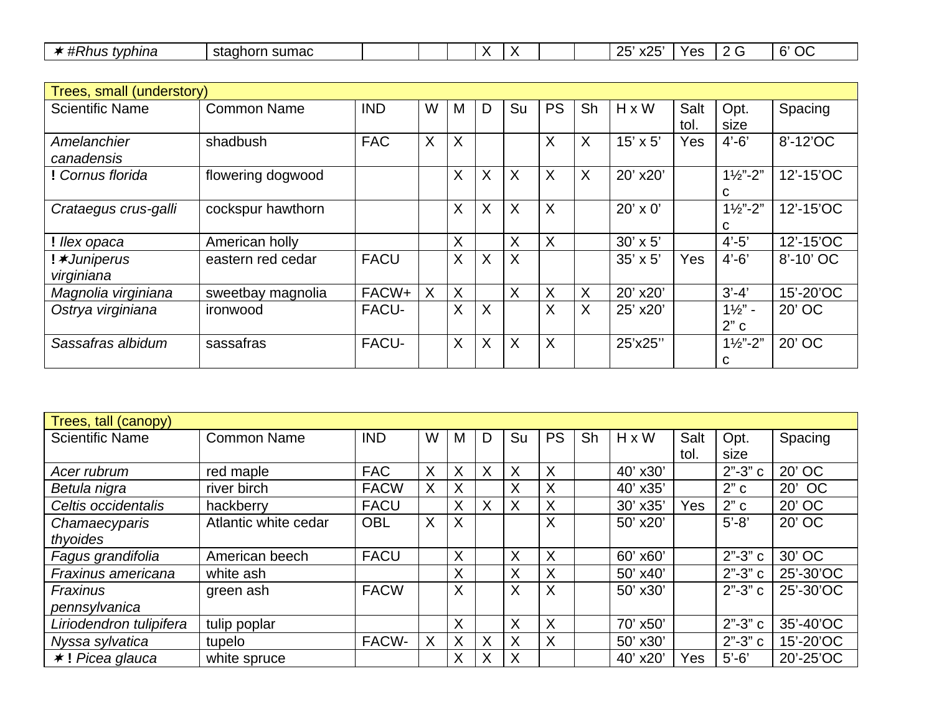| $\cdots$<br>'vphina<br>או וחי<br>. . | sumac<br>stagh<br>. . |  | . .<br>. . | $\cdot$<br>- |  | つに<br>$-$<br>ᄾᄼ<br>∼∸ | $V$ $\cap$ $\sim$<br>v | $\sim$<br>$\sim$<br>h<br>UL |
|--------------------------------------|-----------------------|--|------------|--------------|--|-----------------------|------------------------|-----------------------------|
|                                      |                       |  |            |              |  |                       |                        |                             |

| Trees, small (understory)         |                    |              |   |         |          |         |           |          |                 |            |                          |           |
|-----------------------------------|--------------------|--------------|---|---------|----------|---------|-----------|----------|-----------------|------------|--------------------------|-----------|
| <b>Scientific Name</b>            | <b>Common Name</b> | <b>IND</b>   | W | M       | D        | Su      | <b>PS</b> | Sh       | $H \times W$    | Salt       | Opt.                     | Spacing   |
|                                   |                    |              |   |         |          |         |           |          |                 | tol.       | size                     |           |
| Amelanchier<br>canadensis         | shadbush           | <b>FAC</b>   | X | $\sf X$ |          |         | $\sf X$   | X        | $15' \times 5'$ | Yes        | $4' - 6'$                | 8'-12'OC  |
| ! Cornus florida                  | flowering dogwood  |              |   | $\sf X$ | X        | X       | $\times$  | X        | 20' x20'        |            | $1\frac{1}{2}$ "-2"<br>C | 12'-15'OC |
| Crataegus crus-galli              | cockspur hawthorn  |              |   | $\sf X$ | $\times$ | $\sf X$ | $\sf X$   |          | $20' \times 0'$ |            | $1\frac{1}{2}$ "-2"<br>C | 12'-15'OC |
| ! llex opaca                      | American holly     |              |   | X       |          | X       | $\sf X$   |          | $30' \times 5'$ |            | $4' - 5'$                | 12'-15'OC |
| ! <b>*Juniperus</b><br>virginiana | eastern red cedar  | <b>FACU</b>  |   | X       | $\times$ | $\sf X$ |           |          | $35' \times 5'$ | <b>Yes</b> | $4' - 6'$                | 8'-10' OC |
| Magnolia virginiana               | sweetbay magnolia  | FACW+        | X | X       |          | X       | X         | X        | 20' x20'        |            | $3' - 4'$                | 15'-20'OC |
| Ostrya virginiana                 | ironwood           | <b>FACU-</b> |   | $\sf X$ | $\sf X$  |         | X         | $\times$ | 25' x20'        |            | $1\frac{1}{2}$ -<br>2"c  | 20' OC    |
| Sassafras albidum                 | sassafras          | <b>FACU-</b> |   | X       | $\times$ | $\sf X$ | $\sf X$   |          | 25'x25"         |            | $1\frac{1}{2}$ "-2"<br>C | 20' OC    |

| Trees, tall (canopy)    |                      |             |   |   |          |    |           |    |              |      |             |           |
|-------------------------|----------------------|-------------|---|---|----------|----|-----------|----|--------------|------|-------------|-----------|
| <b>Scientific Name</b>  | <b>Common Name</b>   | <b>IND</b>  | W | M | D        | Su | <b>PS</b> | Sh | $H \times W$ | Salt | Opt.        | Spacing   |
|                         |                      |             |   |   |          |    |           |    |              | tol. | size        |           |
| Acer rubrum             | red maple            | <b>FAC</b>  | Χ | X | $\times$ | X  | X         |    | 40' x30'     |      | $2" - 3" c$ | 20' OC    |
| Betula nigra            | river birch          | <b>FACW</b> | Χ | X |          | Χ  | X         |    | 40' x35'     |      | 2"c         | 20' OC    |
| Celtis occidentalis     | hackberry            | <b>FACU</b> |   | X | X        | X  | X         |    | 30' x35'     | Yes  | 2"c         | 20' OC    |
| Chamaecyparis           | Atlantic white cedar | <b>OBL</b>  | X | X |          |    | X         |    | 50' x20'     |      | $5' - 8'$   | 20' OC    |
| thyoides                |                      |             |   |   |          |    |           |    |              |      |             |           |
| Fagus grandifolia       | American beech       | <b>FACU</b> |   | X |          | Χ  | $\times$  |    | 60' x60'     |      | $2" - 3" c$ | 30' OC    |
| Fraxinus americana      | white ash            |             |   | X |          | Χ  | X         |    | 50' x40'     |      | $2" - 3" c$ | 25'-30'OC |
| Fraxinus                | green ash            | <b>FACW</b> |   | X |          | X  | $\times$  |    | 50' x30'     |      | $2" - 3" c$ | 25'-30'OC |
| pennsylvanica           |                      |             |   |   |          |    |           |    |              |      |             |           |
| Liriodendron tulipifera | tulip poplar         |             |   | X |          | Χ  | X         |    | 70' x50'     |      | $2" - 3" c$ | 35'-40'OC |
| Nyssa sylvatica         | tupelo               | FACW-       | Χ | X | X        | X  | $\times$  |    | 50' x30'     |      | $2" - 3" c$ | 15'-20'OC |
| $\star$ ! Picea glauca  | white spruce         |             |   | X | X        | X  |           |    | 40' x20'     | Yes  | $5'-6'$     | 20'-25'OC |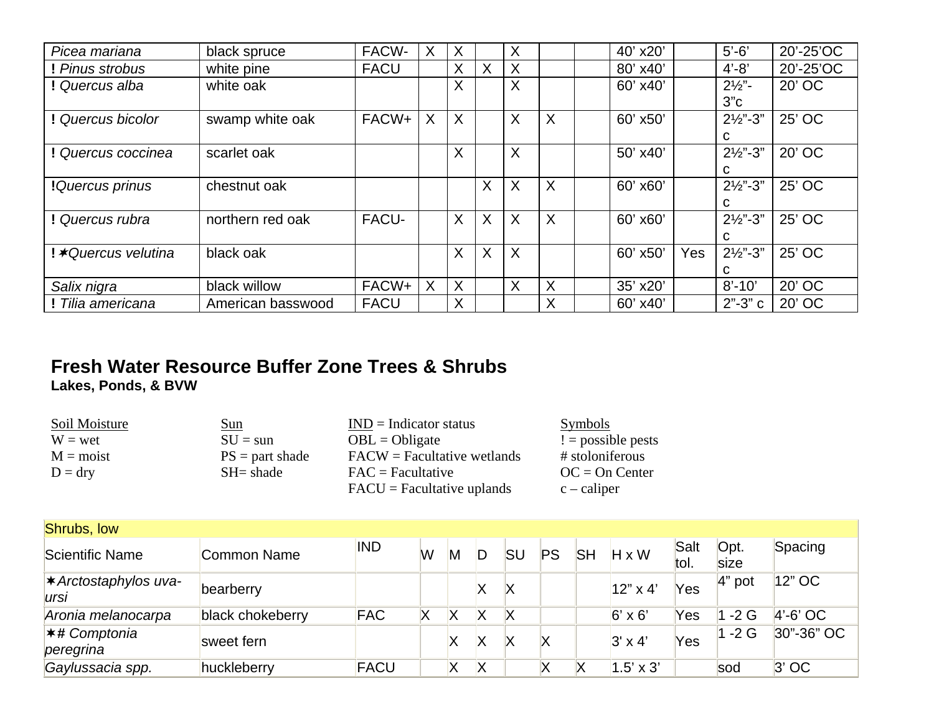| Picea mariana               | black spruce      | FACW-       | Χ | Χ       |          | Χ |          | 40' x20' |            | $5'-6'$             | 20'-25'OC |
|-----------------------------|-------------------|-------------|---|---------|----------|---|----------|----------|------------|---------------------|-----------|
| Pinus strobus               | white pine        | <b>FACU</b> |   | X       | $\sf X$  | X |          | 80' x40' |            | $4' - 8'$           | 20'-25'OC |
| ! Quercus alba              | white oak         |             |   | X       |          | X |          | 60' x40' |            | $2\frac{1}{2}$ .    | 20' OC    |
|                             |                   |             |   |         |          |   |          |          |            | 3"c                 |           |
| ! Quercus bicolor           | swamp white oak   | FACW+       | X | $\sf X$ |          | X | X        | 60' x50' |            | $2\frac{1}{2}$ "-3" | 25' OC    |
|                             |                   |             |   |         |          |   |          |          |            | C                   |           |
| ! Quercus coccinea          | scarlet oak       |             |   | X       |          | X |          | 50' x40' |            | $2\frac{1}{2}$ "-3" | 20' OC    |
|                             |                   |             |   |         |          |   |          |          |            | C                   |           |
| ! Quercus prinus            | chestnut oak      |             |   |         | X        | X | $\times$ | 60' x60' |            | $2\frac{1}{2}$ "-3" | 25' OC    |
|                             |                   |             |   |         |          |   |          |          |            | C                   |           |
| ! Quercus rubra             | northern red oak  | FACU-       |   | X       | X        | X | $\times$ | 60' x60' |            | $2\frac{1}{2}$ "-3" | 25' OC    |
|                             |                   |             |   |         |          |   |          |          |            | C                   |           |
| ! <b>*</b> Quercus velutina | black oak         |             |   | X       | $\times$ | X |          | 60' x50' | <b>Yes</b> | $2\frac{1}{2}$ "-3" | 25' OC    |
|                             |                   |             |   |         |          |   |          |          |            | C                   |           |
| Salix nigra                 | black willow      | FACW+       | X | X       |          | X | X        | 35' x20' |            | $8' - 10'$          | 20' OC    |
| ! Tilia americana           | American basswood | <b>FACU</b> |   | X       |          |   | X        | 60' x40' |            | $2" - 3" c$         | 20' OC    |

## **Fresh Water Resource Buffer Zone Trees & Shrubs Lakes, Ponds, & BVW**

| Soil Moisture      | <u>Sun</u>        | $IND = Indicator status$                    | Symbols             |
|--------------------|-------------------|---------------------------------------------|---------------------|
| $W = wet$          | $SU = \text{sun}$ | $OBL = Obligate$                            | $!=$ possible pests |
| $M = \text{moist}$ | $PS = part shade$ | $\text{FACW} = \text{Facultative wetlands}$ | # stoloniferous     |
| $D = dry$          | $SH = shade$      | $\text{FAC} = \text{Facultative}$           | $OC = On Center$    |
|                    |                   | $\text{FACU} = \text{Facultative uplands}$  | $c - caliper$       |

| Shrubs, low                          |                  |             |   |   |   |    |    |           |                  |              |                     |            |  |
|--------------------------------------|------------------|-------------|---|---|---|----|----|-----------|------------------|--------------|---------------------|------------|--|
| Scientific Name                      | Common Name      | <b>IND</b>  | W | M |   | SU | PS | <b>SH</b> | $H \times W$     | Salt<br>tol. | Opt.<br><b>Size</b> | Spacing    |  |
| <b>★ Arctostaphylos uva-</b><br>ursi | bearberry        |             |   |   | Χ |    |    |           | $12" \times 4"$  | Yes          | $4"$ pot            | 12" OC     |  |
| Aronia melanocarpa                   | black chokeberry | <b>FAC</b>  |   |   | Χ |    |    |           | $6' \times 6'$   | Yes          | $-2G$               | $4'-6'$ OC |  |
| <b>★# Comptonia</b><br>peregrina     | sweet fern       |             |   |   | Х |    | Χ  |           | $3' \times 4'$   | Yes          | $-2G$               | 30"-36" OC |  |
| Gaylussacia spp.                     | huckleberry      | <b>FACU</b> |   | Χ | X |    |    |           | $1.5' \times 3'$ |              | sod                 | $3'$ OC    |  |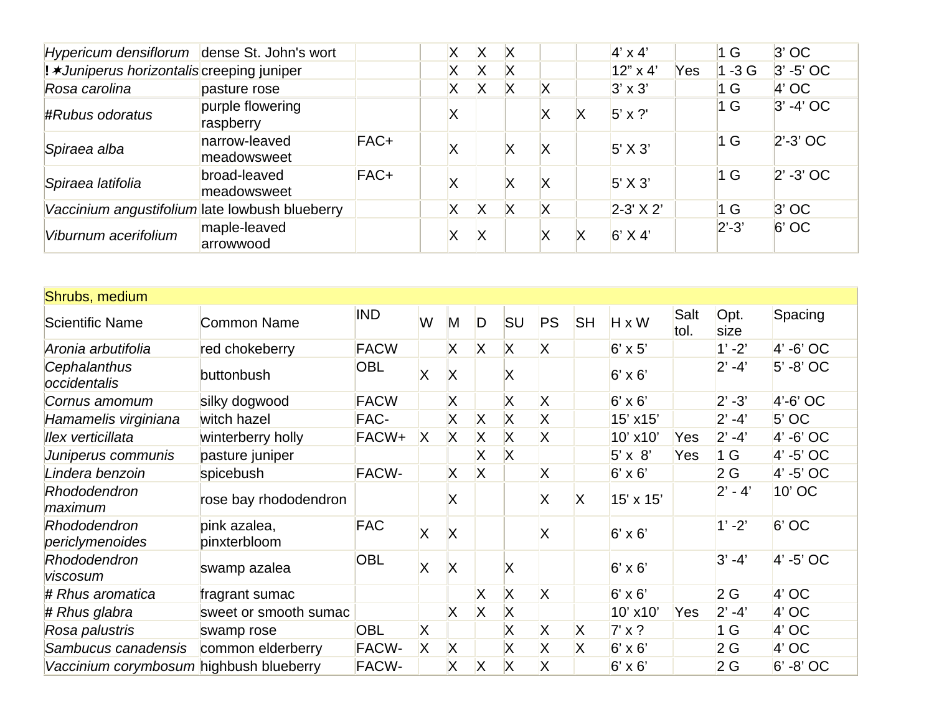| Hypericum densiflorum dense St. John's wort       |                               |      |   | X | IX |   |   | $4' \times 4'$   |     | 1 <sub>G</sub> | $3'$ OC      |
|---------------------------------------------------|-------------------------------|------|---|---|----|---|---|------------------|-----|----------------|--------------|
| ! <b>*Juniperus horizontalis</b> creeping juniper |                               |      |   | Χ | X  |   |   | $12" \times 4"$  | Yes | $1 - 3G$       | $3' - 5'$ OC |
| Rosa carolina                                     | pasture rose                  |      | X | Χ | Х  | X |   | $3' \times 3'$   |     | 1 G            | $4'$ OC      |
| #Rubus odoratus                                   | purple flowering<br>raspberry |      | Х |   |    |   | х | $5' \times ?'$   |     | 1 G            | $3' - 4'$ OC |
| Spiraea alba                                      | narrow-leaved<br>meadowsweet  | FAC+ | Х |   |    | X |   | $5'$ X 3'        |     | 1 G            | $2' - 3'$ OC |
| Spiraea latifolia                                 | broad-leaved<br>meadowsweet   | FAC+ | ⋏ |   |    | X |   | $5'$ X 3'        |     | 1 <sub>G</sub> | $2' - 3'$ OC |
| Vaccinium angustifolium late lowbush blueberry    |                               |      | Χ | X | X  | X |   | $2-3' \times 2'$ |     | 1 G            | $3'$ OC      |
| Viburnum acerifolium                              | maple-leaved<br>arrowwood     |      |   | X |    |   |   | $6'$ X 4'        |     | $2' - 3'$      | $6'$ OC      |

| Shrubs, medium                          |                              |              |   |              |              |                         |                         |           |                |              |                |              |
|-----------------------------------------|------------------------------|--------------|---|--------------|--------------|-------------------------|-------------------------|-----------|----------------|--------------|----------------|--------------|
| <b>Scientific Name</b>                  | <b>Common Name</b>           | <b>IND</b>   | W | M            | D            | <b>SU</b>               | <b>PS</b>               | <b>SH</b> | H x W          | Salt<br>tol. | Opt.<br>size   | Spacing      |
| Aronia arbutifolia                      | red chokeberry               | <b>FACW</b>  |   | X            | X            | X                       | X                       |           | $6' \times 5'$ |              | $1' - 2'$      | $4'$ -6' OC  |
| Cephalanthus<br>occidentalis            | buttonbush                   | <b>OBL</b>   | Χ | X            |              | Х                       |                         |           | $6' \times 6'$ |              | $2' - 4'$      | $5' - 8'$ OC |
| Cornus amomum                           | silky dogwood                | <b>FACW</b>  |   | X            |              | X                       | X                       |           | $6' \times 6'$ |              | $2' - 3'$      | $4'-6'$ OC   |
| Hamamelis virginiana                    | witch hazel                  | FAC-         |   | X            | $\mathsf{X}$ | $\overline{\mathsf{X}}$ | X                       |           | 15' x15'       |              | $2' - 4'$      | $5'$ OC      |
| Ilex verticillata                       | winterberry holly            | FACW+        | X | $\mathsf{X}$ | X            | X                       | X                       |           | 10' x10'       | Yes          | $2' - 4'$      | $4'$ -6' OC  |
| Juniperus communis                      | pasture juniper              |              |   |              | Χ            | Χ                       |                         |           | $5' \times 8'$ | Yes          | 1 <sub>G</sub> | $4' - 5'$ OC |
| Lindera benzoin                         | spicebush                    | <b>FACW-</b> |   | X            | X            |                         | Χ                       |           | $6' \times 6'$ |              | 2G             | $4' - 5'$ OC |
| Rhododendron<br>maximum                 | rose bay rhododendron        |              |   | Х            |              |                         | X                       | X         | 15' x 15'      |              | $2' - 4'$      | 10' OC       |
| <b>Rhododendron</b><br>periclymenoides  | pink azalea,<br>pinxterbloom | <b>FAC</b>   | X | X            |              |                         | Χ                       |           | $6' \times 6'$ |              | $1' - 2'$      | $6'$ OC      |
| Rhododendron<br>viscosum                | swamp azalea                 | <b>OBL</b>   | X | X            |              | X                       |                         |           | $6' \times 6'$ |              | $3' - 4'$      | $4' - 5'$ OC |
| # Rhus aromatica                        | fragrant sumac               |              |   |              | X            | <b>X</b>                | <b>X</b>                |           | $6' \times 6'$ |              | 2G             | $4'$ OC      |
| # Rhus glabra                           | sweet or smooth sumac        |              |   | X            | X            | X                       |                         |           | 10' x10'       | Yes          | $2' - 4'$      | $4'$ OC      |
| Rosa palustris                          | swamp rose                   | <b>OBL</b>   | X |              |              | X                       | X                       | X         | $7' \times ?$  |              | 1 <sub>G</sub> | $4'$ OC      |
| Sambucus canadensis                     | common elderberry            | <b>FACW-</b> | X | X            |              | X                       | $\overline{\mathsf{X}}$ | X         | $6' \times 6'$ |              | 2G             | $4'$ OC      |
| Vaccinium corymbosum highbush blueberry |                              | <b>FACW-</b> |   | X            | $\mathsf{X}$ | X                       | X                       |           | $6' \times 6'$ |              | 2G             | $6' - 8'$ OC |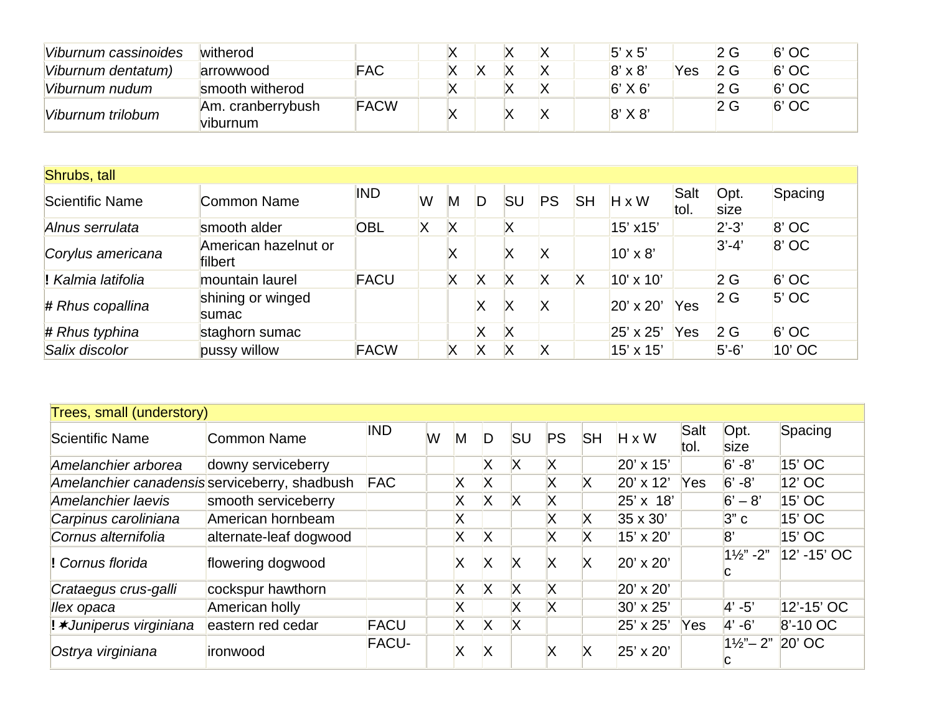| Viburnum cassinoides | witherod                      |             |  |  | $5' \times 5'$ |            | 2 G        | $6'$ OC |
|----------------------|-------------------------------|-------------|--|--|----------------|------------|------------|---------|
| Viburnum dentatum)   | arrowwood                     | <b>FAC</b>  |  |  | $8' \times 8'$ | <b>Yes</b> | $\Omega$ G | $6'$ OC |
| Viburnum nudum       | smooth witherod               |             |  |  | $6'$ X 6'      |            | 2 G        | $6'$ OC |
| Viburnum trilobum    | Am. cranberrybush<br>viburnum | <b>FACW</b> |  |  | $8'$ X $8'$    |            | 2G         | $6'$ OC |

| Shrubs, tall       |                                 |             |   |   |   |           |    |           |                 |              |              |         |
|--------------------|---------------------------------|-------------|---|---|---|-----------|----|-----------|-----------------|--------------|--------------|---------|
| Scientific Name    | Common Name                     | <b>IND</b>  | W | M |   | <b>SU</b> | PS | <b>SH</b> | $H \times W$    | Salt<br>tol. | Opt.<br>size | Spacing |
| Alnus serrulata    | smooth alder                    | <b>OBL</b>  | Χ | Χ |   | Χ         |    |           | 15' x15'        |              | $2' - 3'$    | $8'$ OC |
| Corylus americana  | American hazelnut or<br>filbert |             |   |   |   | Χ         | X  |           | $10' \times 8'$ |              | $ 3'-4 $     | $8'$ OC |
| ! Kalmia latifolia | mountain laurel                 | <b>FACU</b> |   | Χ | Х | Χ         | Χ  | Х         | 10' x 10'       |              | 2G           | $6'$ OC |
| $#$ Rhus copallina | shining or winged<br>sumac      |             |   |   | Χ | Χ         | X  |           | 20' x 20'       | Yes          | 2G           | $5'$ OC |
| $#$ Rhus typhina   | staghorn sumac                  |             |   |   | Χ | X         |    |           | 25' x 25'       | Yes          | 2G           | $6'$ OC |
| Salix discolor     | pussy willow                    | <b>FACW</b> |   |   | Χ | ΙX        | X  |           | 15' x 15'       |              | $5'-6'$      | 10' OC  |

| Trees, small (understory)                     |                        |              |   |   |    |           |           |           |                  |              |                                |              |
|-----------------------------------------------|------------------------|--------------|---|---|----|-----------|-----------|-----------|------------------|--------------|--------------------------------|--------------|
| Scientific Name                               | <b>Common Name</b>     | <b>IND</b>   | W | M | D  | <b>SU</b> | <b>PS</b> | <b>SH</b> | $H \times W$     | Salt<br>tol. | Opt.<br>size                   | Spacing      |
| Amelanchier arborea                           | downy serviceberry     |              |   |   | X  | X         | X         |           | 20' x 15'        |              | $6' - 8'$                      | 15' OC       |
| Amelanchier canadensis serviceberry, shadbush |                        | <b>FAC</b>   |   | Χ | Х  |           | Χ         | Χ         | 20' x 12'        | <b>Yes</b>   | $6' - 8'$                      | $12'$ OC     |
| Amelanchier laevis                            | smooth serviceberry    |              |   | Χ | X  | X         | Χ         |           | $25' \times 18'$ |              | $6' - 8'$                      | 15' OC       |
| Carpinus caroliniana                          | American hornbeam      |              |   | Х |    |           | Χ         | Х         | $35 \times 30'$  |              | 3"c                            | 15' OC       |
| Cornus alternifolia                           | alternate-leaf dogwood |              |   | Χ | X  |           | X         | Х         | 15' x 20'        |              | 8"                             | 15' OC       |
| ! Cornus florida                              | flowering dogwood      |              |   | Χ | X  | IX        |           |           | $20' \times 20'$ |              | $1\frac{1}{2}$ " -2"           | 12' -15' OC  |
| Crataegus crus-galli                          | cockspur hawthorn      |              |   | X | X  | X         | X         |           | $20' \times 20'$ |              |                                |              |
| llex opaca                                    | American holly         |              |   | X |    | X         | X         |           | 30' x 25'        |              | $ 4' - 5' $                    | 12'-15' OC   |
| ! <b>*Juniperus virginiana</b>                | eastern red cedar      | <b>FACU</b>  |   | X | X  | ΙX        |           |           | 25' x 25'        | <b>Yes</b>   | $ 4' - 6' $                    | $8' - 10$ OC |
| Ostrya virginiana                             | ironwood               | <b>FACU-</b> |   |   | IX |           | X         | х         | 25' x 20'        |              | $1\frac{1}{2}$ " – 2" $20'$ OC |              |